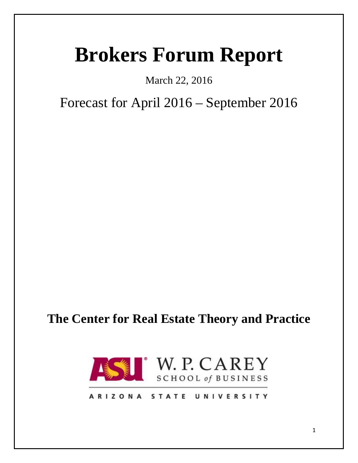# **Brokers Forum Report**

## March 22, 2016

## Forecast for April 2016 – September 2016

## **The Center for Real Estate Theory and Practice**



## ARIZONA STATE UNIVERSITY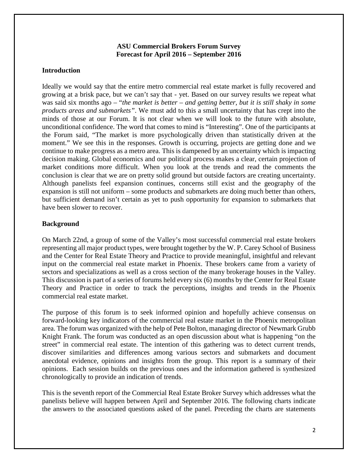#### **ASU Commercial Brokers Forum Survey Forecast for April 2016 – September 2016**

## **Introduction**

Ideally we would say that the entire metro commercial real estate market is fully recovered and growing at a brisk pace, but we can't say that - yet. Based on our survey results we repeat what was said six months ago – "*the market is better – and getting better, but it is still shaky in some products areas and submarkets"*. We must add to this a small uncertainty that has crept into the minds of those at our Forum. It is not clear when we will look to the future with absolute, unconditional confidence. The word that comes to mind is "Interesting". One of the participants at the Forum said, "The market is more psychologically driven than statistically driven at the moment." We see this in the responses. Growth is occurring, projects are getting done and we continue to make progress as a metro area. This is dampened by an uncertainty which is impacting decision making. Global economics and our political process makes a clear, certain projection of market conditions more difficult. When you look at the trends and read the comments the conclusion is clear that we are on pretty solid ground but outside factors are creating uncertainty. Although panelists feel expansion continues, concerns still exist and the geography of the expansion is still not uniform – some products and submarkets are doing much better than others, but sufficient demand isn't certain as yet to push opportunity for expansion to submarkets that have been slower to recover.

## **Background**

On March 22nd, a group of some of the Valley's most successful commercial real estate brokers representing all major product types, were brought together by the W. P. Carey School of Business and the Center for Real Estate Theory and Practice to provide meaningful, insightful and relevant input on the commercial real estate market in Phoenix. These brokers came from a variety of sectors and specializations as well as a cross section of the many brokerage houses in the Valley. This discussion is part of a series of forums held every six (6) months by the Center for Real Estate Theory and Practice in order to track the perceptions, insights and trends in the Phoenix commercial real estate market.

The purpose of this forum is to seek informed opinion and hopefully achieve consensus on forward-looking key indicators of the commercial real estate market in the Phoenix metropolitan area. The forum was organized with the help of Pete Bolton, managing director of Newmark Grubb Knight Frank. The forum was conducted as an open discussion about what is happening "on the street" in commercial real estate. The intention of this gathering was to detect current trends, discover similarities and differences among various sectors and submarkets and document anecdotal evidence, opinions and insights from the group. This report is a summary of their opinions. Each session builds on the previous ones and the information gathered is synthesized chronologically to provide an indication of trends.

This is the seventh report of the Commercial Real Estate Broker Survey which addresses what the panelists believe will happen between April and September 2016. The following charts indicate the answers to the associated questions asked of the panel. Preceding the charts are statements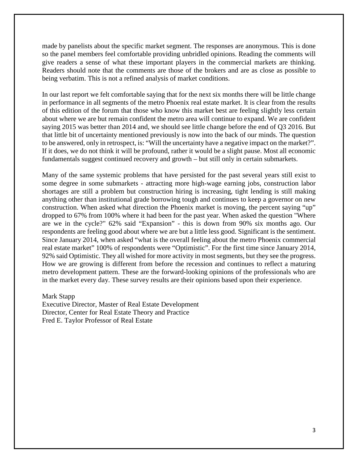made by panelists about the specific market segment. The responses are anonymous. This is done so the panel members feel comfortable providing unbridled opinions. Reading the comments will give readers a sense of what these important players in the commercial markets are thinking. Readers should note that the comments are those of the brokers and are as close as possible to being verbatim. This is not a refined analysis of market conditions.

In our last report we felt comfortable saying that for the next six months there will be little change in performance in all segments of the metro Phoenix real estate market. It is clear from the results of this edition of the forum that those who know this market best are feeling slightly less certain about where we are but remain confident the metro area will continue to expand. We are confident saying 2015 was better than 2014 and, we should see little change before the end of Q3 2016. But that little bit of uncertainty mentioned previously is now into the back of our minds. The question to be answered, only in retrospect, is: "Will the uncertainty have a negative impact on the market?". If it does, we do not think it will be profound, rather it would be a slight pause. Most all economic fundamentals suggest continued recovery and growth – but still only in certain submarkets.

Many of the same systemic problems that have persisted for the past several years still exist to some degree in some submarkets - attracting more high-wage earning jobs, construction labor shortages are still a problem but construction hiring is increasing, tight lending is still making anything other than institutional grade borrowing tough and continues to keep a governor on new construction. When asked what direction the Phoenix market is moving, the percent saying "up" dropped to 67% from 100% where it had been for the past year. When asked the question "Where are we in the cycle?" 62% said "Expansion" - this is down from 90% six months ago. Our respondents are feeling good about where we are but a little less good. Significant is the sentiment. Since January 2014, when asked "what is the overall feeling about the metro Phoenix commercial real estate market" 100% of respondents were "Optimistic". For the first time since January 2014, 92% said Optimistic. They all wished for more activity in most segments, but they see the progress. How we are growing is different from before the recession and continues to reflect a maturing metro development pattern. These are the forward-looking opinions of the professionals who are in the market every day. These survey results are their opinions based upon their experience.

#### Mark Stapp

Executive Director, Master of Real Estate Development Director, Center for Real Estate Theory and Practice Fred E. Taylor Professor of Real Estate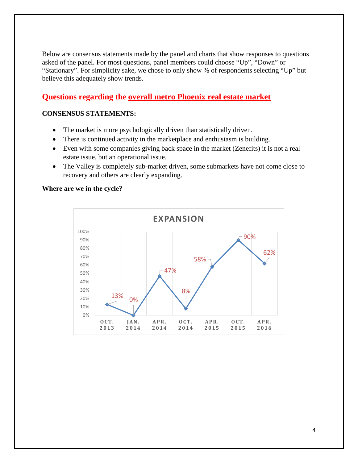Below are consensus statements made by the panel and charts that show responses to questions asked of the panel. For most questions, panel members could choose "Up", "Down" or "Stationary". For simplicity sake, we chose to only show % of respondents selecting "Up" but believe this adequately show trends.

## **Questions regarding the overall metro Phoenix real estate market**

#### **CONSENSUS STATEMENTS:**

- The market is more psychologically driven than statistically driven.
- There is continued activity in the marketplace and enthusiasm is building.
- Even with some companies giving back space in the market (Zenefits) it is not a real estate issue, but an operational issue.
- The Valley is completely sub-market driven, some submarkets have not come close to recovery and others are clearly expanding.

#### **Where are we in the cycle?**

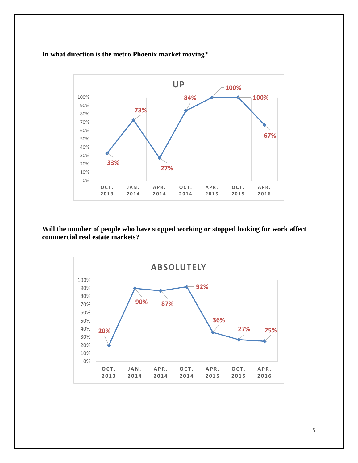## **In what direction is the metro Phoenix market moving?**



**Will the number of people who have stopped working or stopped looking for work affect commercial real estate markets?**

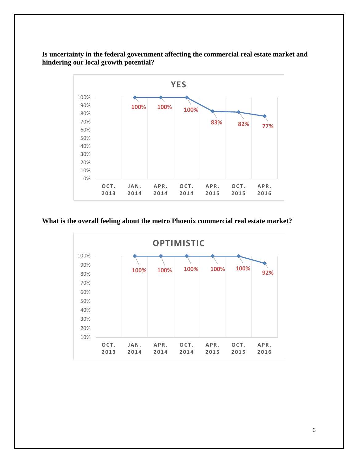**Is uncertainty in the federal government affecting the commercial real estate market and hindering our local growth potential?**



## **What is the overall feeling about the metro Phoenix commercial real estate market?**

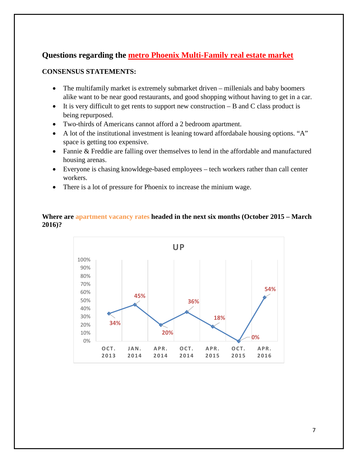## **Questions regarding the metro Phoenix Multi-Family real estate market**

## **CONSENSUS STATEMENTS:**

- The multifamily market is extremely submarket driven millenials and baby boomers alike want to be near good restaurants, and good shopping without having to get in a car.
- It is very difficult to get rents to support new construction  $-$  B and C class product is being repurposed.
- Two-thirds of Americans cannot afford a 2 bedroom apartment.
- A lot of the institutional investment is leaning toward affordabale housing options. "A" space is getting too expensive.
- Fannie & Freddie are falling over themselves to lend in the affordable and manufactured housing arenas.
- Everyone is chasing knowldege-based employees tech workers rather than call center workers.
- There is a lot of pressure for Phoenix to increase the minium wage.

## **Where are apartment vacancy rates headed in the next six months (October 2015 – March 2016)?**

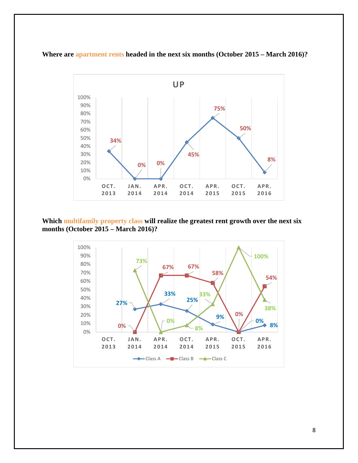



**Which multifamily property class will realize the greatest rent growth over the next six months (October 2015 – March 2016)?**

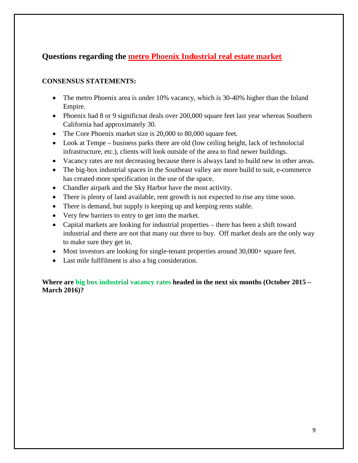## **Questions regarding the metro Phoenix Industrial real estate market**

## **CONSENSUS STATEMENTS:**

- The metro Phoenix area is under 10% vacancy, which is 30-40% higher than the Inland Empire.
- Phoenix had 8 or 9 significnat deals over 200,000 square feet last year whereas Southern California had approximately 30.
- The Core Phoenix market size is 20,000 to 80,000 square feet.
- Look at Tempe business parks there are old (low ceiling height, lack of technolocial infrastructure, etc.), clients will look outside of the area to find newer buildings.
- Vacancy rates are not decreasing because there is always land to build new in other areas.
- The big-box industrial spaces in the Southeast valley are more build to suit, e-commerce has created more specification in the use of the space.
- Chandler airpark and the Sky Harbor have the most activity.
- There is plenty of land available, rent growth is not expected to rise any time soon.
- There is demand, but supply is keeping up and keeping rents stable.
- Very few barriers to entry to get into the market.
- Capital markets are looking for industrial properties there has been a shift toward industrial and there are not that many out there to buy. Off market deals are the only way to make sure they get in.
- Most investors are looking for single-tenant properties around 30,000+ square feet.
- Last mile fullfilment is also a big consideration.

## **Where are big box industrial vacancy rates headed in the next six months (October 2015 – March 2016)?**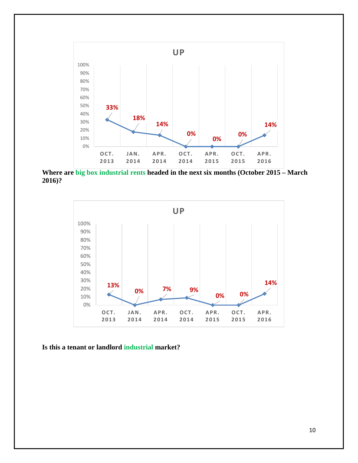

**Where are big box industrial rents headed in the next six months (October 2015 – March 2016)?**



**Is this a tenant or landlord industrial market?**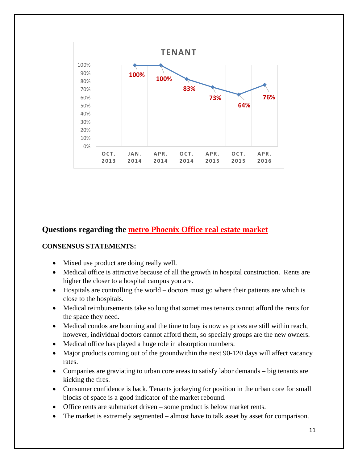

## **Questions regarding the metro Phoenix Office real estate market**

## **CONSENSUS STATEMENTS:**

- Mixed use product are doing really well.
- Medical office is attractive because of all the growth in hospital construction. Rents are higher the closer to a hospital campus you are.
- Hospitals are controlling the world doctors must go where their patients are which is close to the hospitals.
- Medical reimbursements take so long that sometimes tenants cannot afford the rents for the space they need.
- Medical condos are booming and the time to buy is now as prices are still within reach, however, individual doctors cannot afford them, so specialy groups are the new owners.
- Medical office has played a huge role in absorption numbers.
- Major products coming out of the groundwithin the next 90-120 days will affect vacancy rates.
- Companies are graviating to urban core areas to satisfy labor demands big tenants are kicking the tires.
- Consumer confidence is back. Tenants jockeying for position in the urban core for small blocks of space is a good indicator of the market rebound.
- Office rents are submarket driven some product is below market rents.
- The market is extremely segmented almost have to talk asset by asset for comparison.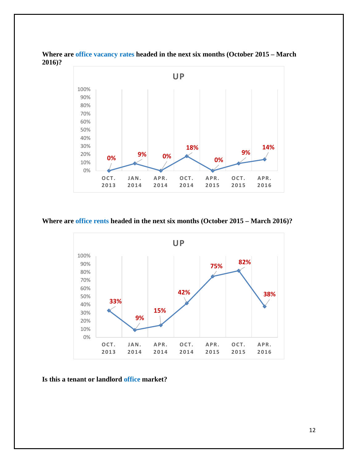

**Where are office vacancy rates headed in the next six months (October 2015 – March 2016)?**

#### **Where are office rents headed in the next six months (October 2015 – March 2016)?**



**Is this a tenant or landlord office market?**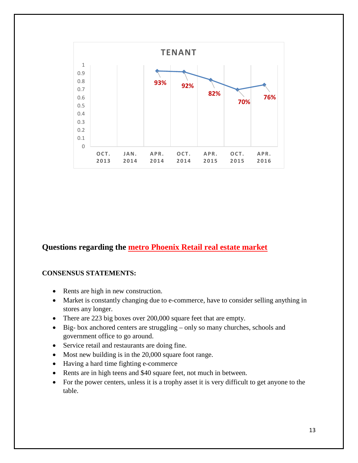

## **Questions regarding the metro Phoenix Retail real estate market**

#### **CONSENSUS STATEMENTS:**

- Rents are high in new construction.
- Market is constantly changing due to e-commerce, have to consider selling anything in stores any longer.
- There are 223 big boxes over 200,000 square feet that are empty.
- Big- box anchored centers are struggling only so many churches, schools and government office to go around.
- Service retail and restaurants are doing fine.
- Most new building is in the 20,000 square foot range.
- Having a hard time fighting e-commerce
- Rents are in high teens and \$40 square feet, not much in between.
- For the power centers, unless it is a trophy asset it is very difficult to get anyone to the table.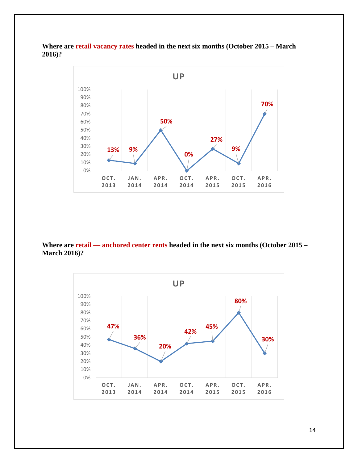**Where are retail vacancy rates headed in the next six months (October 2015 – March 2016)?**



**Where are retail — anchored center rents headed in the next six months (October 2015 – March 2016)?**



14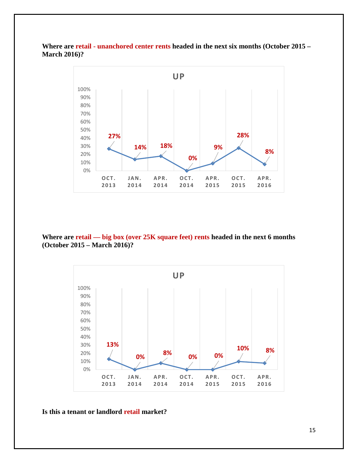## **Where are retail - unanchored center rents headed in the next six months (October 2015 – March 2016)?**



**Where are retail — big box (over 25K square feet) rents headed in the next 6 months (October 2015 – March 2016)?**



**Is this a tenant or landlord retail market?**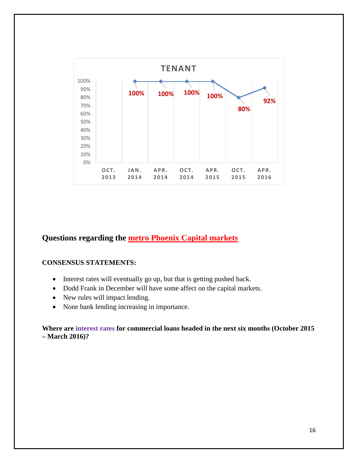

## **Questions regarding the metro Phoenix Capital markets**

## **CONSENSUS STATEMENTS:**

- Interest rates will eventually go up, but that is getting pushed back.
- Dodd Frank in December will have some affect on the capital markets.
- New rules will impact lending.
- None bank lending increasing in importance.

## **Where are interest rates for commercial loans headed in the next six months (October 2015 – March 2016)?**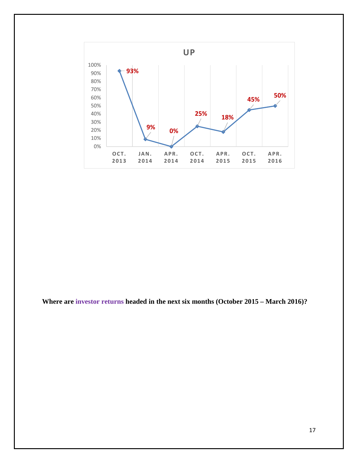

**Where are investor returns headed in the next six months (October 2015 – March 2016)?**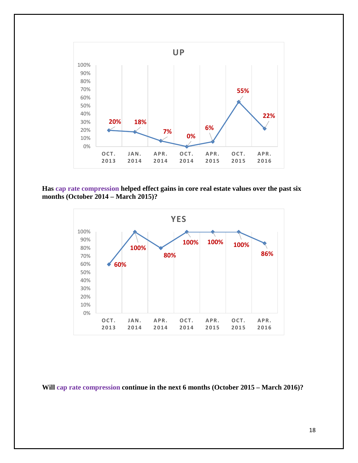

**Has cap rate compression helped effect gains in core real estate values over the past six months (October 2014 – March 2015)?**



**Will cap rate compression continue in the next 6 months (October 2015 – March 2016)?**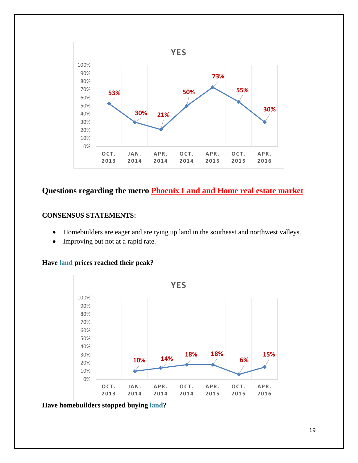

## **Questions regarding the metro Phoenix Land and Home real estate market**

## **CONSENSUS STATEMENTS:**

- Homebuilders are eager and are tying up land in the southeast and northwest valleys.
- Improving but not at a rapid rate.

**Have land prices reached their peak?**



**Have homebuilders stopped buying land?**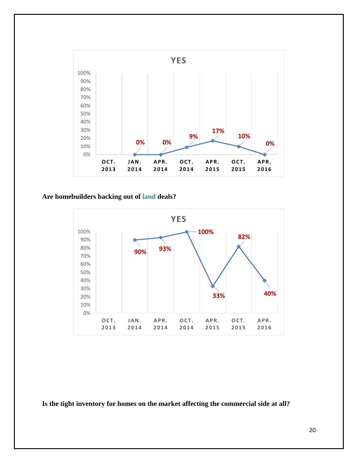

## **Are homebuilders backing out of land deals?**



**Is the tight inventory for homes on the market affecting the commercial side at all?**